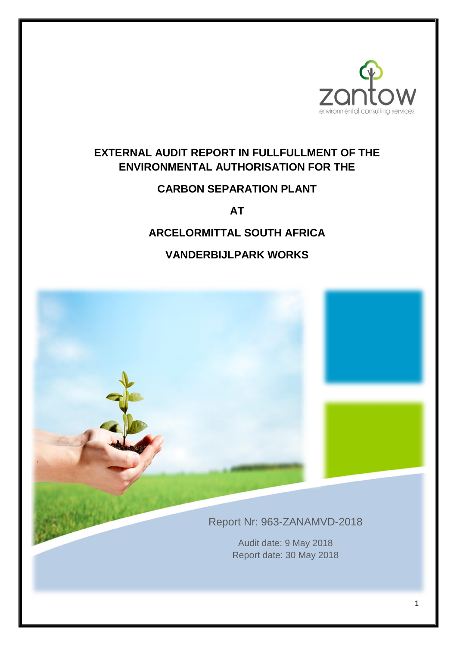

# **EXTERNAL AUDIT REPORT IN FULLFULLMENT OF THE ENVIRONMENTAL AUTHORISATION FOR THE**

# **CARBON SEPARATION PLANT**

**AT** 

# **ARCELORMITTAL SOUTH AFRICA**

# **VANDERBIJLPARK WORKS**

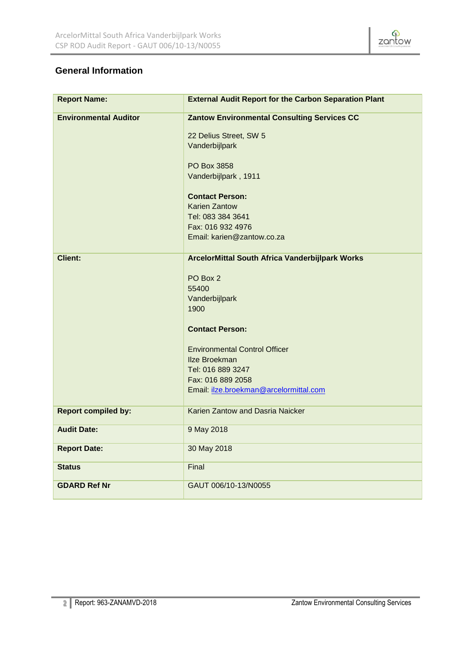

# **General Information**

| <b>Report Name:</b>          | <b>External Audit Report for the Carbon Separation Plant</b> |
|------------------------------|--------------------------------------------------------------|
| <b>Environmental Auditor</b> | <b>Zantow Environmental Consulting Services CC</b>           |
|                              | 22 Delius Street, SW 5                                       |
|                              | Vanderbijlpark                                               |
|                              |                                                              |
|                              | PO Box 3858                                                  |
|                              | Vanderbijlpark, 1911                                         |
|                              | <b>Contact Person:</b>                                       |
|                              | <b>Karien Zantow</b>                                         |
|                              | Tel: 083 384 3641                                            |
|                              | Fax: 016 932 4976                                            |
|                              | Email: karien@zantow.co.za                                   |
| <b>Client:</b>               | ArcelorMittal South Africa Vanderbijlpark Works              |
|                              |                                                              |
|                              | PO Box 2                                                     |
|                              | 55400                                                        |
|                              | Vanderbijlpark                                               |
|                              | 1900                                                         |
|                              | <b>Contact Person:</b>                                       |
|                              | <b>Environmental Control Officer</b>                         |
|                              | <b>Ilze Broekman</b>                                         |
|                              | Tel: 016 889 3247                                            |
|                              | Fax: 016 889 2058                                            |
|                              | Email: ilze.broekman@arcelormittal.com                       |
| <b>Report compiled by:</b>   | Karien Zantow and Dasria Naicker                             |
| <b>Audit Date:</b>           | 9 May 2018                                                   |
| <b>Report Date:</b>          | 30 May 2018                                                  |
| <b>Status</b>                | Final                                                        |
| <b>GDARD Ref Nr</b>          | GAUT 006/10-13/N0055                                         |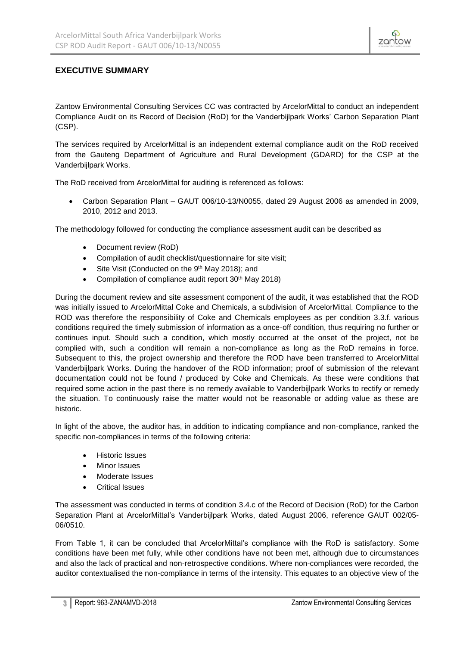

# **EXECUTIVE SUMMARY**

Zantow Environmental Consulting Services CC was contracted by ArcelorMittal to conduct an independent Compliance Audit on its Record of Decision (RoD) for the Vanderbijlpark Works' Carbon Separation Plant (CSP).

The services required by ArcelorMittal is an independent external compliance audit on the RoD received from the Gauteng Department of Agriculture and Rural Development (GDARD) for the CSP at the Vanderbijlpark Works.

The RoD received from ArcelorMittal for auditing is referenced as follows:

• Carbon Separation Plant – GAUT 006/10-13/N0055, dated 29 August 2006 as amended in 2009, 2010, 2012 and 2013.

The methodology followed for conducting the compliance assessment audit can be described as

- Document review (RoD)
- Compilation of audit checklist/questionnaire for site visit;
- Site Visit (Conducted on the 9<sup>th</sup> May 2018); and
- Compilation of compliance audit report 30<sup>th</sup> May 2018)

During the document review and site assessment component of the audit, it was established that the ROD was initially issued to ArcelorMittal Coke and Chemicals, a subdivision of ArcelorMittal. Compliance to the ROD was therefore the responsibility of Coke and Chemicals employees as per condition 3.3.f. various conditions required the timely submission of information as a once-off condition, thus requiring no further or continues input. Should such a condition, which mostly occurred at the onset of the project, not be complied with, such a condition will remain a non-compliance as long as the RoD remains in force. Subsequent to this, the project ownership and therefore the ROD have been transferred to ArcelorMittal Vanderbijlpark Works. During the handover of the ROD information; proof of submission of the relevant documentation could not be found / produced by Coke and Chemicals. As these were conditions that required some action in the past there is no remedy available to Vanderbijlpark Works to rectify or remedy the situation. To continuously raise the matter would not be reasonable or adding value as these are historic.

In light of the above, the auditor has, in addition to indicating compliance and non-compliance, ranked the specific non-compliances in terms of the following criteria:

- Historic Issues
- Minor Issues
- Moderate Issues
- Critical Issues

The assessment was conducted in terms of condition 3.4.c of the Record of Decision (RoD) for the Carbon Separation Plant at ArcelorMittal's Vanderbijlpark Works, dated August 2006, reference GAUT 002/05- 06/0510.

From Table 1, it can be concluded that ArcelorMittal's compliance with the RoD is satisfactory. Some conditions have been met fully, while other conditions have not been met, although due to circumstances and also the lack of practical and non-retrospective conditions. Where non-compliances were recorded, the auditor contextualised the non-compliance in terms of the intensity. This equates to an objective view of the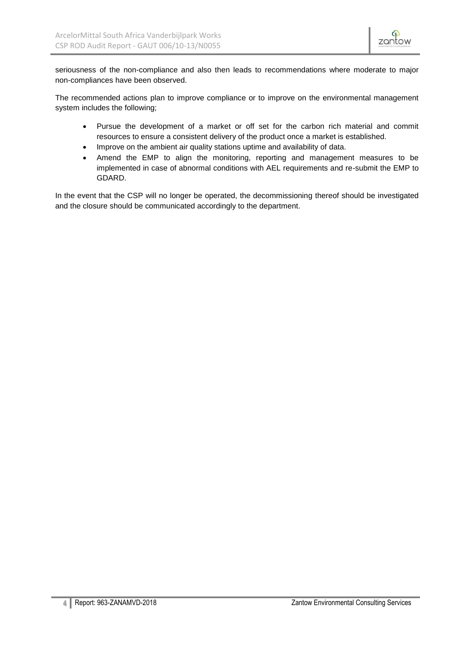seriousness of the non-compliance and also then leads to recommendations where moderate to major non-compliances have been observed.

The recommended actions plan to improve compliance or to improve on the environmental management system includes the following;

- Pursue the development of a market or off set for the carbon rich material and commit resources to ensure a consistent delivery of the product once a market is established.
- Improve on the ambient air quality stations uptime and availability of data.
- Amend the EMP to align the monitoring, reporting and management measures to be implemented in case of abnormal conditions with AEL requirements and re-submit the EMP to GDARD.

In the event that the CSP will no longer be operated, the decommissioning thereof should be investigated and the closure should be communicated accordingly to the department.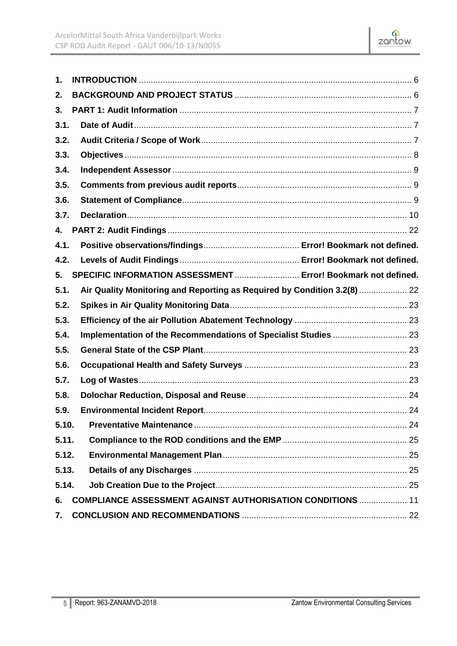

| 1.    |                                                                          |  |
|-------|--------------------------------------------------------------------------|--|
| 2.    |                                                                          |  |
| 3.    |                                                                          |  |
| 3.1.  |                                                                          |  |
| 3.2.  |                                                                          |  |
| 3.3.  |                                                                          |  |
| 3.4.  |                                                                          |  |
| 3.5.  |                                                                          |  |
| 3.6.  |                                                                          |  |
| 3.7.  |                                                                          |  |
| 4.    |                                                                          |  |
| 4.1.  |                                                                          |  |
| 4.2.  |                                                                          |  |
| 5.    | SPECIFIC INFORMATION ASSESSMENT  Error! Bookmark not defined.            |  |
| 5.1.  | Air Quality Monitoring and Reporting as Required by Condition 3.2(8)  22 |  |
| 5.2.  |                                                                          |  |
| 5.3.  |                                                                          |  |
| 5.4.  |                                                                          |  |
| 5.5.  |                                                                          |  |
| 5.6.  |                                                                          |  |
| 5.7.  |                                                                          |  |
| 5.8.  |                                                                          |  |
| 5.9.  |                                                                          |  |
| 5.10. |                                                                          |  |
| 5.11. |                                                                          |  |
| 5.12. |                                                                          |  |
| 5.13. |                                                                          |  |
| 5.14. |                                                                          |  |
| 6.    | <b>COMPLIANCE ASSESSMENT AGAINST AUTHORISATION CONDITIONS  11</b>        |  |
| 7.    |                                                                          |  |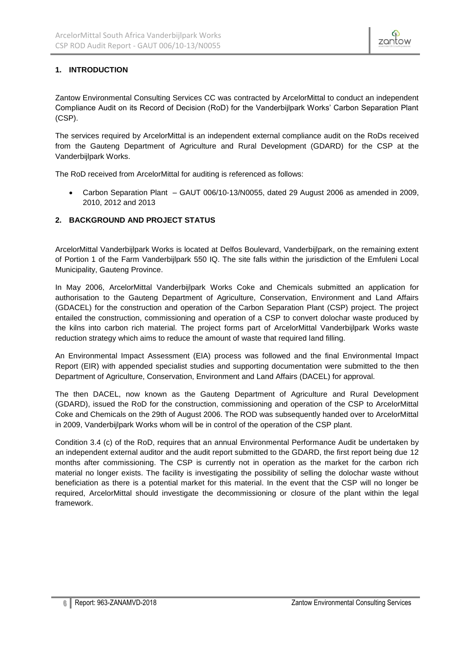

# <span id="page-5-0"></span>**1. INTRODUCTION**

Zantow Environmental Consulting Services CC was contracted by ArcelorMittal to conduct an independent Compliance Audit on its Record of Decision (RoD) for the Vanderbijlpark Works' Carbon Separation Plant (CSP).

The services required by ArcelorMittal is an independent external compliance audit on the RoDs received from the Gauteng Department of Agriculture and Rural Development (GDARD) for the CSP at the Vanderbijlpark Works.

The RoD received from ArcelorMittal for auditing is referenced as follows:

• Carbon Separation Plant – GAUT 006/10-13/N0055, dated 29 August 2006 as amended in 2009, 2010, 2012 and 2013

# <span id="page-5-1"></span>**2. BACKGROUND AND PROJECT STATUS**

ArcelorMittal Vanderbijlpark Works is located at Delfos Boulevard, Vanderbijlpark, on the remaining extent of Portion 1 of the Farm Vanderbijlpark 550 IQ. The site falls within the jurisdiction of the Emfuleni Local Municipality, Gauteng Province.

In May 2006, ArcelorMittal Vanderbijlpark Works Coke and Chemicals submitted an application for authorisation to the Gauteng Department of Agriculture, Conservation, Environment and Land Affairs (GDACEL) for the construction and operation of the Carbon Separation Plant (CSP) project. The project entailed the construction, commissioning and operation of a CSP to convert dolochar waste produced by the kilns into carbon rich material. The project forms part of ArcelorMittal Vanderbijlpark Works waste reduction strategy which aims to reduce the amount of waste that required land filling.

An Environmental Impact Assessment (EIA) process was followed and the final Environmental Impact Report (EIR) with appended specialist studies and supporting documentation were submitted to the then Department of Agriculture, Conservation, Environment and Land Affairs (DACEL) for approval.

The then DACEL, now known as the Gauteng Department of Agriculture and Rural Development (GDARD), issued the RoD for the construction, commissioning and operation of the CSP to ArcelorMittal Coke and Chemicals on the 29th of August 2006. The ROD was subsequently handed over to ArcelorMittal in 2009, Vanderbijlpark Works whom will be in control of the operation of the CSP plant.

Condition 3.4 (c) of the RoD, requires that an annual Environmental Performance Audit be undertaken by an independent external auditor and the audit report submitted to the GDARD, the first report being due 12 months after commissioning. The CSP is currently not in operation as the market for the carbon rich material no longer exists. The facility is investigating the possibility of selling the dolochar waste without beneficiation as there is a potential market for this material. In the event that the CSP will no longer be required, ArcelorMittal should investigate the decommissioning or closure of the plant within the legal framework.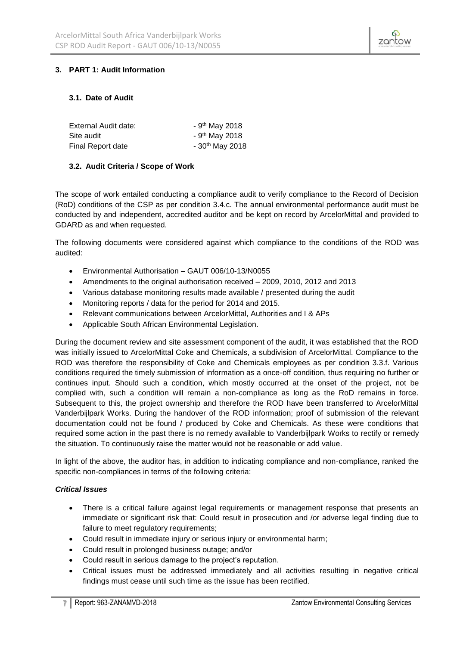

# <span id="page-6-0"></span>**3. PART 1: Audit Information**

### <span id="page-6-1"></span>**3.1. Date of Audit**

| External Audit date: | - $9th$ May 2018             |
|----------------------|------------------------------|
| Site audit           | - 9 <sup>th</sup> May 2018   |
| Final Report date    | $-30$ <sup>th</sup> May 2018 |

### <span id="page-6-2"></span>**3.2. Audit Criteria / Scope of Work**

The scope of work entailed conducting a compliance audit to verify compliance to the Record of Decision (RoD) conditions of the CSP as per condition 3.4.c. The annual environmental performance audit must be conducted by and independent, accredited auditor and be kept on record by ArcelorMittal and provided to GDARD as and when requested.

The following documents were considered against which compliance to the conditions of the ROD was audited:

- Environmental Authorisation GAUT 006/10-13/N0055
- Amendments to the original authorisation received 2009, 2010, 2012 and 2013
- Various database monitoring results made available / presented during the audit
- Monitoring reports / data for the period for 2014 and 2015.
- Relevant communications between ArcelorMittal, Authorities and I & APs
- Applicable South African Environmental Legislation.

During the document review and site assessment component of the audit, it was established that the ROD was initially issued to ArcelorMittal Coke and Chemicals, a subdivision of ArcelorMittal. Compliance to the ROD was therefore the responsibility of Coke and Chemicals employees as per condition 3.3.f. Various conditions required the timely submission of information as a once-off condition, thus requiring no further or continues input. Should such a condition, which mostly occurred at the onset of the project, not be complied with, such a condition will remain a non-compliance as long as the RoD remains in force. Subsequent to this, the project ownership and therefore the ROD have been transferred to ArcelorMittal Vanderbijlpark Works. During the handover of the ROD information; proof of submission of the relevant documentation could not be found / produced by Coke and Chemicals. As these were conditions that required some action in the past there is no remedy available to Vanderbijlpark Works to rectify or remedy the situation. To continuously raise the matter would not be reasonable or add value.

In light of the above, the auditor has, in addition to indicating compliance and non-compliance, ranked the specific non-compliances in terms of the following criteria:

### *Critical Issues*

- There is a critical failure against legal requirements or management response that presents an immediate or significant risk that: Could result in prosecution and /or adverse legal finding due to failure to meet regulatory requirements;
- Could result in immediate injury or serious injury or environmental harm;
- Could result in prolonged business outage; and/or
- Could result in serious damage to the project's reputation.
- Critical issues must be addressed immediately and all activities resulting in negative critical findings must cease until such time as the issue has been rectified.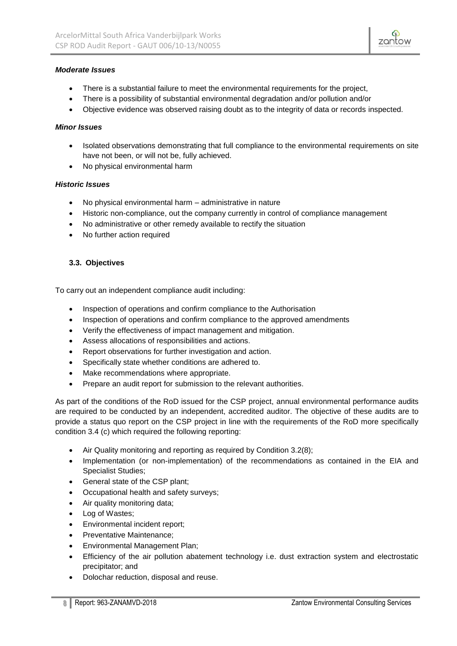

### *Moderate Issues*

- There is a substantial failure to meet the environmental requirements for the project,
- There is a possibility of substantial environmental degradation and/or pollution and/or
- Objective evidence was observed raising doubt as to the integrity of data or records inspected.

### *Minor Issues*

- Isolated observations demonstrating that full compliance to the environmental requirements on site have not been, or will not be, fully achieved.
- No physical environmental harm

### *Historic Issues*

- No physical environmental harm administrative in nature
- Historic non-compliance, out the company currently in control of compliance management
- No administrative or other remedy available to rectify the situation
- No further action required

### <span id="page-7-0"></span>**3.3. Objectives**

To carry out an independent compliance audit including:

- Inspection of operations and confirm compliance to the Authorisation
- Inspection of operations and confirm compliance to the approved amendments
- Verify the effectiveness of impact management and mitigation.
- Assess allocations of responsibilities and actions.
- Report observations for further investigation and action.
- Specifically state whether conditions are adhered to.
- Make recommendations where appropriate.
- Prepare an audit report for submission to the relevant authorities.

As part of the conditions of the RoD issued for the CSP project, annual environmental performance audits are required to be conducted by an independent, accredited auditor. The objective of these audits are to provide a status quo report on the CSP project in line with the requirements of the RoD more specifically condition 3.4 (c) which required the following reporting:

- Air Quality monitoring and reporting as required by Condition 3.2(8);
- Implementation (or non-implementation) of the recommendations as contained in the EIA and Specialist Studies;
- General state of the CSP plant;
- Occupational health and safety surveys;
- Air quality monitoring data;
- Log of Wastes;
- Environmental incident report;
- Preventative Maintenance;
- Environmental Management Plan;
- Efficiency of the air pollution abatement technology i.e. dust extraction system and electrostatic precipitator; and
- Dolochar reduction, disposal and reuse.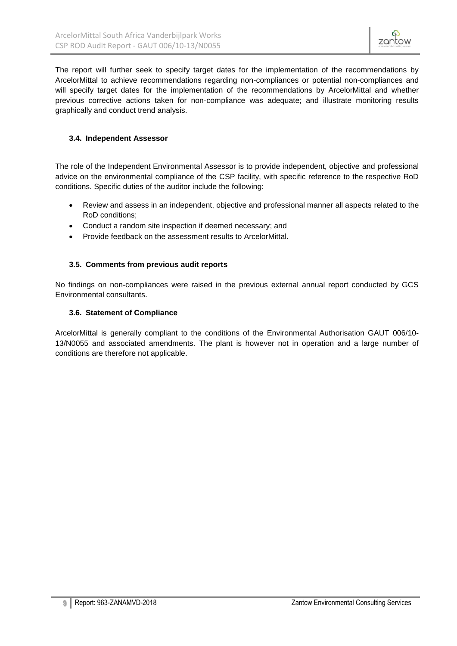The report will further seek to specify target dates for the implementation of the recommendations by ArcelorMittal to achieve recommendations regarding non-compliances or potential non-compliances and will specify target dates for the implementation of the recommendations by ArcelorMittal and whether previous corrective actions taken for non-compliance was adequate; and illustrate monitoring results graphically and conduct trend analysis.

## <span id="page-8-0"></span>**3.4. Independent Assessor**

The role of the Independent Environmental Assessor is to provide independent, objective and professional advice on the environmental compliance of the CSP facility, with specific reference to the respective RoD conditions. Specific duties of the auditor include the following:

- Review and assess in an independent, objective and professional manner all aspects related to the RoD conditions;
- Conduct a random site inspection if deemed necessary; and
- Provide feedback on the assessment results to ArcelorMittal.

### <span id="page-8-1"></span>**3.5. Comments from previous audit reports**

No findings on non-compliances were raised in the previous external annual report conducted by GCS Environmental consultants.

### <span id="page-8-2"></span>**3.6. Statement of Compliance**

ArcelorMittal is generally compliant to the conditions of the Environmental Authorisation GAUT 006/10- 13/N0055 and associated amendments. The plant is however not in operation and a large number of conditions are therefore not applicable.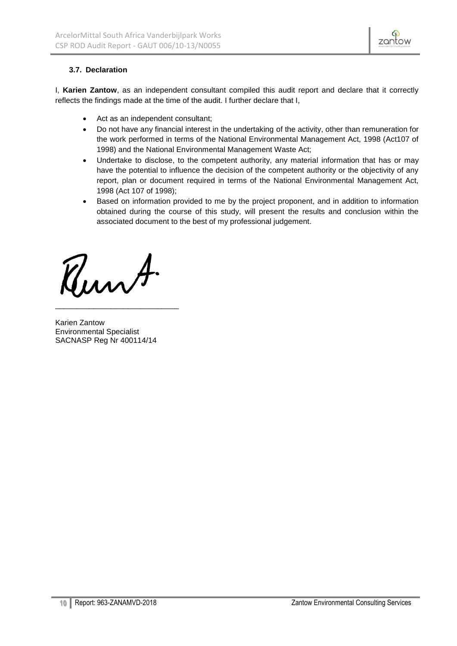

## <span id="page-9-0"></span>**3.7. Declaration**

I, **Karien Zantow**, as an independent consultant compiled this audit report and declare that it correctly reflects the findings made at the time of the audit. I further declare that I,

- Act as an independent consultant;
- Do not have any financial interest in the undertaking of the activity, other than remuneration for the work performed in terms of the National Environmental Management Act, 1998 (Act107 of 1998) and the National Environmental Management Waste Act;
- Undertake to disclose, to the competent authority, any material information that has or may have the potential to influence the decision of the competent authority or the objectivity of any report, plan or document required in terms of the National Environmental Management Act, 1998 (Act 107 of 1998);
- Based on information provided to me by the project proponent, and in addition to information obtained during the course of this study, will present the results and conclusion within the associated document to the best of my professional judgement.

Runt.

\_\_\_\_\_\_\_\_\_\_\_\_\_\_\_\_\_\_\_\_\_\_\_\_\_\_\_\_\_

Karien Zantow Environmental Specialist SACNASP Reg Nr 400114/14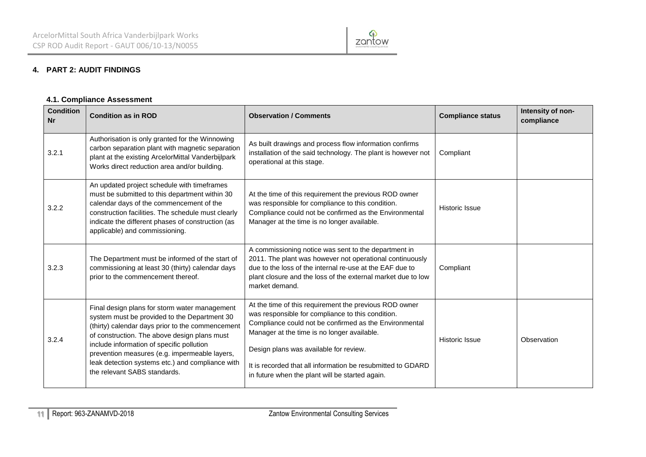

# **4. PART 2: AUDIT FINDINGS**

### **4.1. Compliance Assessment**

<span id="page-10-0"></span>

| <b>Condition</b><br><b>Nr</b> | <b>Condition as in ROD</b>                                                                                                                                                                                                                                                                                                                                                          | <b>Observation / Comments</b>                                                                                                                                                                                                                                                                                                                                                    | <b>Compliance status</b> | Intensity of non-<br>compliance |
|-------------------------------|-------------------------------------------------------------------------------------------------------------------------------------------------------------------------------------------------------------------------------------------------------------------------------------------------------------------------------------------------------------------------------------|----------------------------------------------------------------------------------------------------------------------------------------------------------------------------------------------------------------------------------------------------------------------------------------------------------------------------------------------------------------------------------|--------------------------|---------------------------------|
| 3.2.1                         | Authorisation is only granted for the Winnowing<br>carbon separation plant with magnetic separation<br>plant at the existing ArcelorMittal Vanderbijlpark<br>Works direct reduction area and/or building.                                                                                                                                                                           | As built drawings and process flow information confirms<br>installation of the said technology. The plant is however not<br>operational at this stage.                                                                                                                                                                                                                           | Compliant                |                                 |
| 3.2.2                         | An updated project schedule with timeframes<br>must be submitted to this department within 30<br>calendar days of the commencement of the<br>construction facilities. The schedule must clearly<br>indicate the different phases of construction (as<br>applicable) and commissioning.                                                                                              | At the time of this requirement the previous ROD owner<br>was responsible for compliance to this condition.<br>Compliance could not be confirmed as the Environmental<br>Manager at the time is no longer available.                                                                                                                                                             | Historic Issue           |                                 |
| 3.2.3                         | The Department must be informed of the start of<br>commissioning at least 30 (thirty) calendar days<br>prior to the commencement thereof.                                                                                                                                                                                                                                           | A commissioning notice was sent to the department in<br>2011. The plant was however not operational continuously<br>due to the loss of the internal re-use at the EAF due to<br>plant closure and the loss of the external market due to low<br>market demand.                                                                                                                   | Compliant                |                                 |
| 3.2.4                         | Final design plans for storm water management<br>system must be provided to the Department 30<br>(thirty) calendar days prior to the commencement<br>of construction. The above design plans must<br>include information of specific pollution<br>prevention measures (e.g. impermeable layers,<br>leak detection systems etc.) and compliance with<br>the relevant SABS standards. | At the time of this requirement the previous ROD owner<br>was responsible for compliance to this condition.<br>Compliance could not be confirmed as the Environmental<br>Manager at the time is no longer available.<br>Design plans was available for review.<br>It is recorded that all information be resubmitted to GDARD<br>in future when the plant will be started again. | <b>Historic Issue</b>    | Observation                     |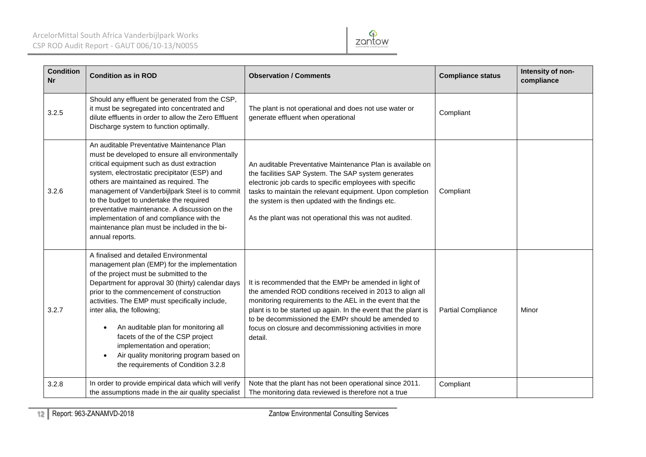

| <b>Condition</b><br><b>Nr</b> | <b>Condition as in ROD</b>                                                                                                                                                                                                                                                                                                                                                                                                                                                                                                                   | <b>Observation / Comments</b>                                                                                                                                                                                                                                                                                                                                                 | <b>Compliance status</b>  | Intensity of non-<br>compliance |
|-------------------------------|----------------------------------------------------------------------------------------------------------------------------------------------------------------------------------------------------------------------------------------------------------------------------------------------------------------------------------------------------------------------------------------------------------------------------------------------------------------------------------------------------------------------------------------------|-------------------------------------------------------------------------------------------------------------------------------------------------------------------------------------------------------------------------------------------------------------------------------------------------------------------------------------------------------------------------------|---------------------------|---------------------------------|
| 3.2.5                         | Should any effluent be generated from the CSP,<br>it must be segregated into concentrated and<br>dilute effluents in order to allow the Zero Effluent<br>Discharge system to function optimally.                                                                                                                                                                                                                                                                                                                                             | The plant is not operational and does not use water or<br>generate effluent when operational                                                                                                                                                                                                                                                                                  | Compliant                 |                                 |
| 3.2.6                         | An auditable Preventative Maintenance Plan<br>must be developed to ensure all environmentally<br>critical equipment such as dust extraction<br>system, electrostatic precipitator (ESP) and<br>others are maintained as required. The<br>management of Vanderbijlpark Steel is to commit<br>to the budget to undertake the required<br>preventative maintenance. A discussion on the<br>implementation of and compliance with the<br>maintenance plan must be included in the bi-<br>annual reports.                                         | An auditable Preventative Maintenance Plan is available on<br>the facilities SAP System. The SAP system generates<br>electronic job cards to specific employees with specific<br>tasks to maintain the relevant equipment. Upon completion<br>the system is then updated with the findings etc.<br>As the plant was not operational this was not audited.                     | Compliant                 |                                 |
| 3.2.7                         | A finalised and detailed Environmental<br>management plan (EMP) for the implementation<br>of the project must be submitted to the<br>Department for approval 30 (thirty) calendar days<br>prior to the commencement of construction<br>activities. The EMP must specifically include,<br>inter alia, the following;<br>An auditable plan for monitoring all<br>$\bullet$<br>facets of the of the CSP project<br>implementation and operation;<br>Air quality monitoring program based on<br>$\bullet$<br>the requirements of Condition 3.2.8 | It is recommended that the EMPr be amended in light of<br>the amended ROD conditions received in 2013 to align all<br>monitoring requirements to the AEL in the event that the<br>plant is to be started up again. In the event that the plant is<br>to be decommissioned the EMPr should be amended to<br>focus on closure and decommissioning activities in more<br>detail. | <b>Partial Compliance</b> | Minor                           |
| 3.2.8                         | In order to provide empirical data which will verify<br>the assumptions made in the air quality specialist                                                                                                                                                                                                                                                                                                                                                                                                                                   | Note that the plant has not been operational since 2011.<br>The monitoring data reviewed is therefore not a true                                                                                                                                                                                                                                                              | Compliant                 |                                 |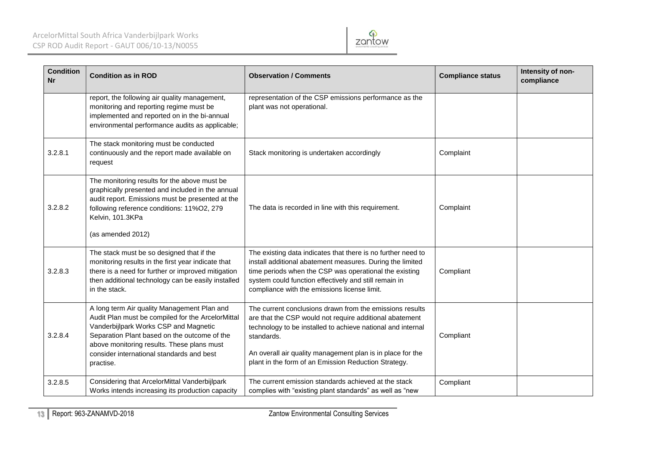

| <b>Condition</b><br><b>Nr</b> | <b>Condition as in ROD</b>                                                                                                                                                                                                                                                                        | <b>Observation / Comments</b>                                                                                                                                                                                                                                                                                          | <b>Compliance status</b> | Intensity of non-<br>compliance |
|-------------------------------|---------------------------------------------------------------------------------------------------------------------------------------------------------------------------------------------------------------------------------------------------------------------------------------------------|------------------------------------------------------------------------------------------------------------------------------------------------------------------------------------------------------------------------------------------------------------------------------------------------------------------------|--------------------------|---------------------------------|
|                               | report, the following air quality management,<br>monitoring and reporting regime must be<br>implemented and reported on in the bi-annual<br>environmental performance audits as applicable;                                                                                                       | representation of the CSP emissions performance as the<br>plant was not operational.                                                                                                                                                                                                                                   |                          |                                 |
| 3.2.8.1                       | The stack monitoring must be conducted<br>continuously and the report made available on<br>request                                                                                                                                                                                                | Stack monitoring is undertaken accordingly                                                                                                                                                                                                                                                                             | Complaint                |                                 |
| 3.2.8.2                       | The monitoring results for the above must be<br>graphically presented and included in the annual<br>audit report. Emissions must be presented at the<br>following reference conditions: 11%O2, 279<br>Kelvin, 101.3KPa<br>(as amended 2012)                                                       | The data is recorded in line with this requirement.                                                                                                                                                                                                                                                                    | Complaint                |                                 |
| 3.2.8.3                       | The stack must be so designed that if the<br>monitoring results in the first year indicate that<br>there is a need for further or improved mitigation<br>then additional technology can be easily installed<br>in the stack.                                                                      | The existing data indicates that there is no further need to<br>install additional abatement measures. During the limited<br>time periods when the CSP was operational the existing<br>system could function effectively and still remain in<br>compliance with the emissions license limit.                           | Compliant                |                                 |
| 3.2.8.4                       | A long term Air quality Management Plan and<br>Audit Plan must be compiled for the ArcelorMittal<br>Vanderbijlpark Works CSP and Magnetic<br>Separation Plant based on the outcome of the<br>above monitoring results. These plans must<br>consider international standards and best<br>practise. | The current conclusions drawn from the emissions results<br>are that the CSP would not require additional abatement<br>technology to be installed to achieve national and internal<br>standards.<br>An overall air quality management plan is in place for the<br>plant in the form of an Emission Reduction Strategy. | Compliant                |                                 |
| 3.2.8.5                       | Considering that ArcelorMittal Vanderbijlpark<br>Works intends increasing its production capacity                                                                                                                                                                                                 | The current emission standards achieved at the stack<br>complies with "existing plant standards" as well as "new                                                                                                                                                                                                       | Compliant                |                                 |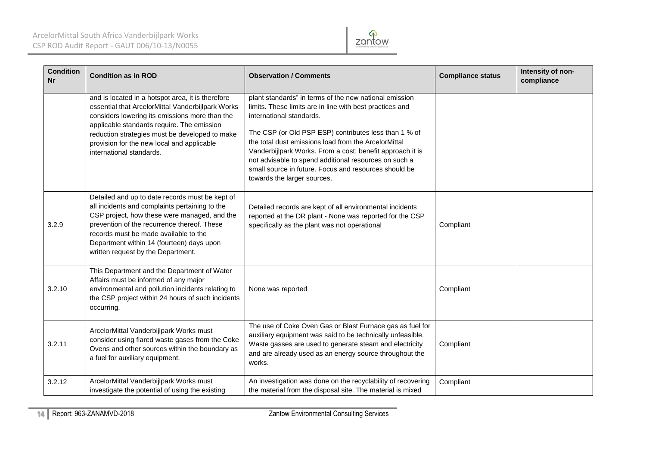

| <b>Condition</b><br><b>Nr</b> | <b>Condition as in ROD</b>                                                                                                                                                                                                                                                                                                         | <b>Observation / Comments</b>                                                                                                                                                                                                                                                                                                                                                                                                                                                 | <b>Compliance status</b> | Intensity of non-<br>compliance |
|-------------------------------|------------------------------------------------------------------------------------------------------------------------------------------------------------------------------------------------------------------------------------------------------------------------------------------------------------------------------------|-------------------------------------------------------------------------------------------------------------------------------------------------------------------------------------------------------------------------------------------------------------------------------------------------------------------------------------------------------------------------------------------------------------------------------------------------------------------------------|--------------------------|---------------------------------|
|                               | and is located in a hotspot area, it is therefore<br>essential that ArcelorMittal Vanderbijlpark Works<br>considers lowering its emissions more than the<br>applicable standards require. The emission<br>reduction strategies must be developed to make<br>provision for the new local and applicable<br>international standards. | plant standards" in terms of the new national emission<br>limits. These limits are in line with best practices and<br>international standards.<br>The CSP (or Old PSP ESP) contributes less than 1 % of<br>the total dust emissions load from the ArcelorMittal<br>Vanderbijlpark Works. From a cost: benefit approach it is<br>not advisable to spend additional resources on such a<br>small source in future. Focus and resources should be<br>towards the larger sources. |                          |                                 |
| 3.2.9                         | Detailed and up to date records must be kept of<br>all incidents and complaints pertaining to the<br>CSP project, how these were managed, and the<br>prevention of the recurrence thereof. These<br>records must be made available to the<br>Department within 14 (fourteen) days upon<br>written request by the Department.       | Detailed records are kept of all environmental incidents<br>reported at the DR plant - None was reported for the CSP<br>specifically as the plant was not operational                                                                                                                                                                                                                                                                                                         | Compliant                |                                 |
| 3.2.10                        | This Department and the Department of Water<br>Affairs must be informed of any major<br>environmental and pollution incidents relating to<br>the CSP project within 24 hours of such incidents<br>occurring.                                                                                                                       | None was reported                                                                                                                                                                                                                                                                                                                                                                                                                                                             | Compliant                |                                 |
| 3.2.11                        | ArcelorMittal Vanderbijlpark Works must<br>consider using flared waste gases from the Coke<br>Ovens and other sources within the boundary as<br>a fuel for auxiliary equipment.                                                                                                                                                    | The use of Coke Oven Gas or Blast Furnace gas as fuel for<br>auxiliary equipment was said to be technically unfeasible.<br>Waste gasses are used to generate steam and electricity<br>and are already used as an energy source throughout the<br>works.                                                                                                                                                                                                                       | Compliant                |                                 |
| 3.2.12                        | ArcelorMittal Vanderbijlpark Works must<br>investigate the potential of using the existing                                                                                                                                                                                                                                         | An investigation was done on the recyclability of recovering<br>the material from the disposal site. The material is mixed                                                                                                                                                                                                                                                                                                                                                    | Compliant                |                                 |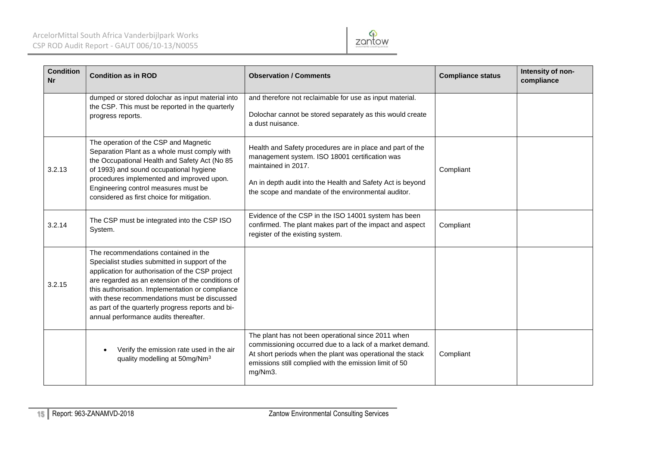

| <b>Condition</b><br><b>Nr</b> | <b>Condition as in ROD</b>                                                                                                                                                                                                                                                                                                                                                                        | <b>Observation / Comments</b>                                                                                                                                                                                                                           | <b>Compliance status</b> | Intensity of non-<br>compliance |
|-------------------------------|---------------------------------------------------------------------------------------------------------------------------------------------------------------------------------------------------------------------------------------------------------------------------------------------------------------------------------------------------------------------------------------------------|---------------------------------------------------------------------------------------------------------------------------------------------------------------------------------------------------------------------------------------------------------|--------------------------|---------------------------------|
|                               | dumped or stored dolochar as input material into<br>the CSP. This must be reported in the quarterly<br>progress reports.                                                                                                                                                                                                                                                                          | and therefore not reclaimable for use as input material.<br>Dolochar cannot be stored separately as this would create<br>a dust nuisance.                                                                                                               |                          |                                 |
| 3.2.13                        | The operation of the CSP and Magnetic<br>Separation Plant as a whole must comply with<br>the Occupational Health and Safety Act (No 85<br>of 1993) and sound occupational hygiene<br>procedures implemented and improved upon.<br>Engineering control measures must be<br>considered as first choice for mitigation.                                                                              | Health and Safety procedures are in place and part of the<br>management system. ISO 18001 certification was<br>maintained in 2017.<br>An in depth audit into the Health and Safety Act is beyond<br>the scope and mandate of the environmental auditor. | Compliant                |                                 |
| 3.2.14                        | The CSP must be integrated into the CSP ISO<br>System.                                                                                                                                                                                                                                                                                                                                            | Evidence of the CSP in the ISO 14001 system has been<br>confirmed. The plant makes part of the impact and aspect<br>register of the existing system.                                                                                                    | Compliant                |                                 |
| 3.2.15                        | The recommendations contained in the<br>Specialist studies submitted in support of the<br>application for authorisation of the CSP project<br>are regarded as an extension of the conditions of<br>this authorisation. Implementation or compliance<br>with these recommendations must be discussed<br>as part of the quarterly progress reports and bi-<br>annual performance audits thereafter. |                                                                                                                                                                                                                                                         |                          |                                 |
|                               | Verify the emission rate used in the air<br>quality modelling at 50mg/Nm <sup>3</sup>                                                                                                                                                                                                                                                                                                             | The plant has not been operational since 2011 when<br>commissioning occurred due to a lack of a market demand.<br>At short periods when the plant was operational the stack<br>emissions still complied with the emission limit of 50<br>mg/Nm3.        | Compliant                |                                 |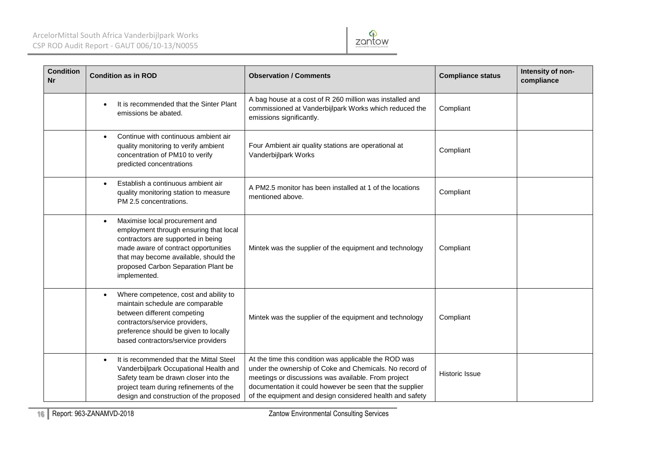

| <b>Condition</b><br><b>Nr</b> | <b>Condition as in ROD</b>                                                                                                                                                                                                                                          | <b>Observation / Comments</b>                                                                                                                                                                                                                                                                   | <b>Compliance status</b> | Intensity of non-<br>compliance |
|-------------------------------|---------------------------------------------------------------------------------------------------------------------------------------------------------------------------------------------------------------------------------------------------------------------|-------------------------------------------------------------------------------------------------------------------------------------------------------------------------------------------------------------------------------------------------------------------------------------------------|--------------------------|---------------------------------|
|                               | It is recommended that the Sinter Plant<br>emissions be abated.                                                                                                                                                                                                     | A bag house at a cost of R 260 million was installed and<br>commissioned at Vanderbijlpark Works which reduced the<br>emissions significantly.                                                                                                                                                  | Compliant                |                                 |
|                               | Continue with continuous ambient air<br>$\bullet$<br>quality monitoring to verify ambient<br>concentration of PM10 to verify<br>predicted concentrations                                                                                                            | Four Ambient air quality stations are operational at<br>Vanderbijlpark Works                                                                                                                                                                                                                    | Compliant                |                                 |
|                               | Establish a continuous ambient air<br>quality monitoring station to measure<br>PM 2.5 concentrations.                                                                                                                                                               | A PM2.5 monitor has been installed at 1 of the locations<br>mentioned above.                                                                                                                                                                                                                    | Compliant                |                                 |
|                               | Maximise local procurement and<br>$\bullet$<br>employment through ensuring that local<br>contractors are supported in being<br>made aware of contract opportunities<br>that may become available, should the<br>proposed Carbon Separation Plant be<br>implemented. | Mintek was the supplier of the equipment and technology                                                                                                                                                                                                                                         | Compliant                |                                 |
|                               | Where competence, cost and ability to<br>$\bullet$<br>maintain schedule are comparable<br>between different competing<br>contractors/service providers,<br>preference should be given to locally<br>based contractors/service providers                             | Mintek was the supplier of the equipment and technology                                                                                                                                                                                                                                         | Compliant                |                                 |
|                               | It is recommended that the Mittal Steel<br>$\bullet$<br>Vanderbijlpark Occupational Health and<br>Safety team be drawn closer into the<br>project team during refinements of the<br>design and construction of the proposed                                         | At the time this condition was applicable the ROD was<br>under the ownership of Coke and Chemicals. No record of<br>meetings or discussions was available. From project<br>documentation it could however be seen that the supplier<br>of the equipment and design considered health and safety | <b>Historic Issue</b>    |                                 |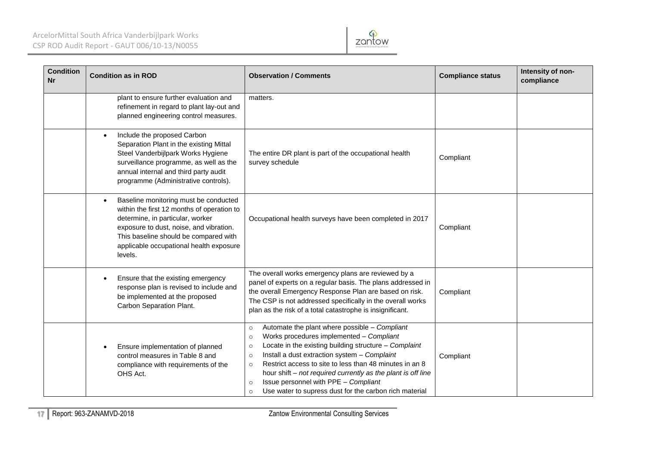# ArcelorMittal South Africa Vanderbijlpark Works CSP ROD Audit Report - GAUT 006/10-13/N0055



| <b>Condition</b><br><b>Nr</b> | <b>Condition as in ROD</b>                                                                                                                                                                                                                                                     | <b>Observation / Comments</b>                                                                                                                                                                                                                                                                                                                                                                                                                                                                                | <b>Compliance status</b> | Intensity of non-<br>compliance |
|-------------------------------|--------------------------------------------------------------------------------------------------------------------------------------------------------------------------------------------------------------------------------------------------------------------------------|--------------------------------------------------------------------------------------------------------------------------------------------------------------------------------------------------------------------------------------------------------------------------------------------------------------------------------------------------------------------------------------------------------------------------------------------------------------------------------------------------------------|--------------------------|---------------------------------|
|                               | plant to ensure further evaluation and<br>refinement in regard to plant lay-out and<br>planned engineering control measures.                                                                                                                                                   | matters.                                                                                                                                                                                                                                                                                                                                                                                                                                                                                                     |                          |                                 |
|                               | Include the proposed Carbon<br>$\bullet$<br>Separation Plant in the existing Mittal<br>Steel Vanderbijlpark Works Hygiene<br>surveillance programme, as well as the<br>annual internal and third party audit<br>programme (Administrative controls).                           | The entire DR plant is part of the occupational health<br>survey schedule                                                                                                                                                                                                                                                                                                                                                                                                                                    | Compliant                |                                 |
|                               | Baseline monitoring must be conducted<br>$\bullet$<br>within the first 12 months of operation to<br>determine, in particular, worker<br>exposure to dust, noise, and vibration.<br>This baseline should be compared with<br>applicable occupational health exposure<br>levels. | Occupational health surveys have been completed in 2017                                                                                                                                                                                                                                                                                                                                                                                                                                                      | Compliant                |                                 |
|                               | Ensure that the existing emergency<br>$\bullet$<br>response plan is revised to include and<br>be implemented at the proposed<br>Carbon Separation Plant.                                                                                                                       | The overall works emergency plans are reviewed by a<br>panel of experts on a regular basis. The plans addressed in<br>the overall Emergency Response Plan are based on risk.<br>The CSP is not addressed specifically in the overall works<br>plan as the risk of a total catastrophe is insignificant.                                                                                                                                                                                                      | Compliant                |                                 |
|                               | Ensure implementation of planned<br>control measures in Table 8 and<br>compliance with requirements of the<br>OHS Act.                                                                                                                                                         | Automate the plant where possible - Compliant<br>$\circ$<br>Works procedures implemented - Compliant<br>$\circ$<br>Locate in the existing building structure - Complaint<br>$\circ$<br>Install a dust extraction system - Complaint<br>$\circ$<br>Restrict access to site to less than 48 minutes in an 8<br>$\circ$<br>hour shift – not required currently as the plant is off line<br>Issue personnel with PPE - Compliant<br>$\circ$<br>Use water to supress dust for the carbon rich material<br>$\circ$ | Compliant                |                                 |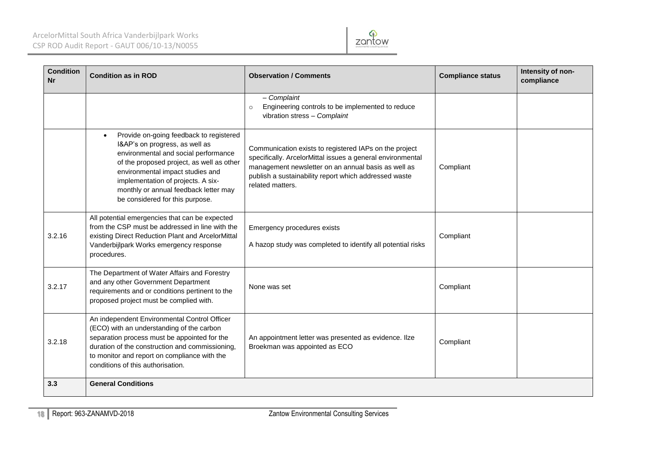

| <b>Condition</b><br>Nr | <b>Condition as in ROD</b>                                                                                                                                                                                                                                                                                                        | <b>Observation / Comments</b>                                                                                                                                                                                                                            | <b>Compliance status</b> | Intensity of non-<br>compliance |
|------------------------|-----------------------------------------------------------------------------------------------------------------------------------------------------------------------------------------------------------------------------------------------------------------------------------------------------------------------------------|----------------------------------------------------------------------------------------------------------------------------------------------------------------------------------------------------------------------------------------------------------|--------------------------|---------------------------------|
|                        |                                                                                                                                                                                                                                                                                                                                   | $-$ Complaint<br>Engineering controls to be implemented to reduce<br>$\circ$<br>vibration stress - Complaint                                                                                                                                             |                          |                                 |
|                        | Provide on-going feedback to registered<br>$\bullet$<br>I&AP's on progress, as well as<br>environmental and social performance<br>of the proposed project, as well as other<br>environmental impact studies and<br>implementation of projects. A six-<br>monthly or annual feedback letter may<br>be considered for this purpose. | Communication exists to registered IAPs on the project<br>specifically. ArcelorMittal issues a general environmental<br>management newsletter on an annual basis as well as<br>publish a sustainability report which addressed waste<br>related matters. | Compliant                |                                 |
| 3.2.16                 | All potential emergencies that can be expected<br>from the CSP must be addressed in line with the<br>existing Direct Reduction Plant and ArcelorMittal<br>Vanderbijlpark Works emergency response<br>procedures.                                                                                                                  | Emergency procedures exists<br>A hazop study was completed to identify all potential risks                                                                                                                                                               | Compliant                |                                 |
| 3.2.17                 | The Department of Water Affairs and Forestry<br>and any other Government Department<br>requirements and or conditions pertinent to the<br>proposed project must be complied with.                                                                                                                                                 | None was set                                                                                                                                                                                                                                             | Compliant                |                                 |
| 3.2.18                 | An independent Environmental Control Officer<br>(ECO) with an understanding of the carbon<br>separation process must be appointed for the<br>duration of the construction and commissioning,<br>to monitor and report on compliance with the<br>conditions of this authorisation.                                                 | An appointment letter was presented as evidence. Ilze<br>Broekman was appointed as ECO                                                                                                                                                                   | Compliant                |                                 |
| 3.3                    | <b>General Conditions</b>                                                                                                                                                                                                                                                                                                         |                                                                                                                                                                                                                                                          |                          |                                 |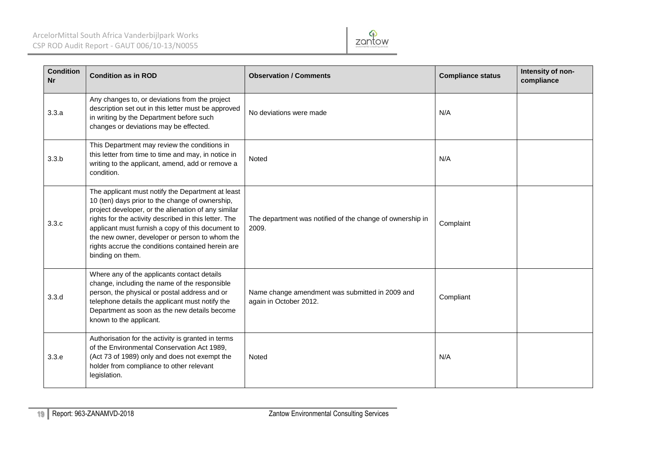# ArcelorMittal South Africa Vanderbijlpark Works CSP ROD Audit Report - GAUT 006/10-13/N0055



| <b>Condition</b><br><b>Nr</b> | <b>Condition as in ROD</b>                                                                                                                                                                                                                                                                                                                                                                           | <b>Observation / Comments</b>                                             | <b>Compliance status</b> | Intensity of non-<br>compliance |
|-------------------------------|------------------------------------------------------------------------------------------------------------------------------------------------------------------------------------------------------------------------------------------------------------------------------------------------------------------------------------------------------------------------------------------------------|---------------------------------------------------------------------------|--------------------------|---------------------------------|
| 3.3.a                         | Any changes to, or deviations from the project<br>description set out in this letter must be approved<br>in writing by the Department before such<br>changes or deviations may be effected.                                                                                                                                                                                                          | No deviations were made                                                   | N/A                      |                                 |
| 3.3.b                         | This Department may review the conditions in<br>this letter from time to time and may, in notice in<br>writing to the applicant, amend, add or remove a<br>condition.                                                                                                                                                                                                                                | Noted                                                                     | N/A                      |                                 |
| 3.3.c                         | The applicant must notify the Department at least<br>10 (ten) days prior to the change of ownership,<br>project developer, or the alienation of any similar<br>rights for the activity described in this letter. The<br>applicant must furnish a copy of this document to<br>the new owner, developer or person to whom the<br>rights accrue the conditions contained herein are<br>binding on them. | The department was notified of the change of ownership in<br>2009.        | Complaint                |                                 |
| 3.3.d                         | Where any of the applicants contact details<br>change, including the name of the responsible<br>person, the physical or postal address and or<br>telephone details the applicant must notify the<br>Department as soon as the new details become<br>known to the applicant.                                                                                                                          | Name change amendment was submitted in 2009 and<br>again in October 2012. | Compliant                |                                 |
| 3.3.e                         | Authorisation for the activity is granted in terms<br>of the Environmental Conservation Act 1989,<br>(Act 73 of 1989) only and does not exempt the<br>holder from compliance to other relevant<br>legislation.                                                                                                                                                                                       | Noted                                                                     | N/A                      |                                 |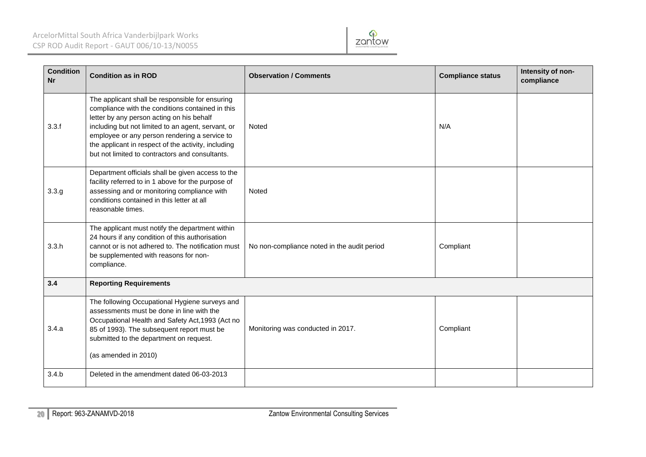

| <b>Condition</b><br><b>Nr</b> | <b>Condition as in ROD</b>                                                                                                                                                                                                                                                                                                                                        | <b>Observation / Comments</b>               | <b>Compliance status</b> | Intensity of non-<br>compliance |  |  |
|-------------------------------|-------------------------------------------------------------------------------------------------------------------------------------------------------------------------------------------------------------------------------------------------------------------------------------------------------------------------------------------------------------------|---------------------------------------------|--------------------------|---------------------------------|--|--|
| 3.3.f                         | The applicant shall be responsible for ensuring<br>compliance with the conditions contained in this<br>letter by any person acting on his behalf<br>including but not limited to an agent, servant, or<br>employee or any person rendering a service to<br>the applicant in respect of the activity, including<br>but not limited to contractors and consultants. | Noted                                       | N/A                      |                                 |  |  |
| 3.3.g                         | Department officials shall be given access to the<br>facility referred to in 1 above for the purpose of<br>assessing and or monitoring compliance with<br>conditions contained in this letter at all<br>reasonable times.                                                                                                                                         | Noted                                       |                          |                                 |  |  |
| 3.3.h                         | The applicant must notify the department within<br>24 hours if any condition of this authorisation<br>cannot or is not adhered to. The notification must<br>be supplemented with reasons for non-<br>compliance.                                                                                                                                                  | No non-compliance noted in the audit period | Compliant                |                                 |  |  |
| 3.4                           | <b>Reporting Requirements</b>                                                                                                                                                                                                                                                                                                                                     |                                             |                          |                                 |  |  |
| 3.4.a                         | The following Occupational Hygiene surveys and<br>assessments must be done in line with the<br>Occupational Health and Safety Act, 1993 (Act no<br>85 of 1993). The subsequent report must be<br>submitted to the department on request.<br>(as amended in 2010)                                                                                                  | Monitoring was conducted in 2017.           | Compliant                |                                 |  |  |
| 3.4.b                         | Deleted in the amendment dated 06-03-2013                                                                                                                                                                                                                                                                                                                         |                                             |                          |                                 |  |  |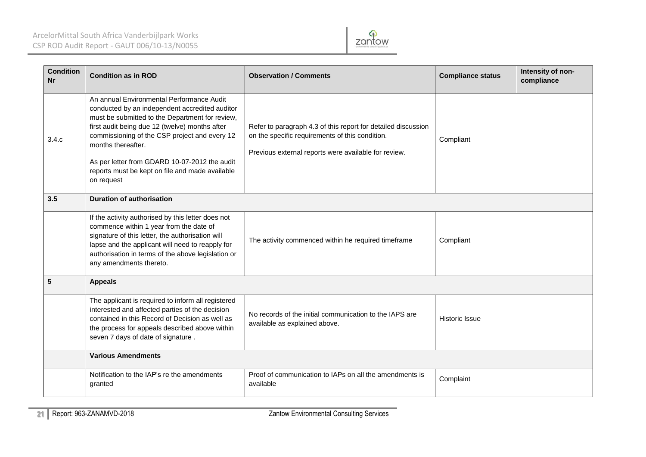

| <b>Condition</b><br><b>Nr</b> | <b>Condition as in ROD</b>                                                                                                                                                                                                                                                                                                                                                                | <b>Observation / Comments</b>                                                                                                                                            | <b>Compliance status</b> | Intensity of non-<br>compliance |  |  |
|-------------------------------|-------------------------------------------------------------------------------------------------------------------------------------------------------------------------------------------------------------------------------------------------------------------------------------------------------------------------------------------------------------------------------------------|--------------------------------------------------------------------------------------------------------------------------------------------------------------------------|--------------------------|---------------------------------|--|--|
| 3.4.c                         | An annual Environmental Performance Audit<br>conducted by an independent accredited auditor<br>must be submitted to the Department for review,<br>first audit being due 12 (twelve) months after<br>commissioning of the CSP project and every 12<br>months thereafter.<br>As per letter from GDARD 10-07-2012 the audit<br>reports must be kept on file and made available<br>on request | Refer to paragraph 4.3 of this report for detailed discussion<br>on the specific requirements of this condition.<br>Previous external reports were available for review. | Compliant                |                                 |  |  |
| 3.5                           | Duration of authorisation                                                                                                                                                                                                                                                                                                                                                                 |                                                                                                                                                                          |                          |                                 |  |  |
|                               | If the activity authorised by this letter does not<br>commence within 1 year from the date of<br>signature of this letter, the authorisation will<br>lapse and the applicant will need to reapply for<br>authorisation in terms of the above legislation or<br>any amendments thereto.                                                                                                    | The activity commenced within he required timeframe                                                                                                                      | Compliant                |                                 |  |  |
| 5                             | <b>Appeals</b>                                                                                                                                                                                                                                                                                                                                                                            |                                                                                                                                                                          |                          |                                 |  |  |
|                               | The applicant is required to inform all registered<br>interested and affected parties of the decision<br>contained in this Record of Decision as well as<br>the process for appeals described above within<br>seven 7 days of date of signature.                                                                                                                                          | No records of the initial communication to the IAPS are<br>available as explained above.                                                                                 | <b>Historic Issue</b>    |                                 |  |  |
|                               | <b>Various Amendments</b>                                                                                                                                                                                                                                                                                                                                                                 |                                                                                                                                                                          |                          |                                 |  |  |
|                               | Notification to the IAP's re the amendments<br>granted                                                                                                                                                                                                                                                                                                                                    | Proof of communication to IAPs on all the amendments is<br>available                                                                                                     | Complaint                |                                 |  |  |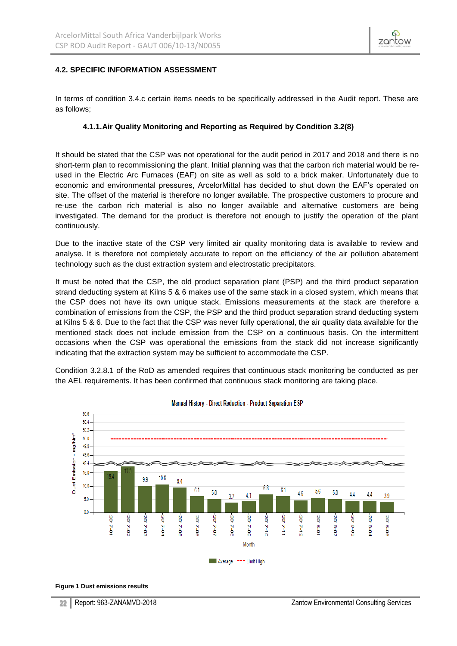

## <span id="page-21-0"></span>**4.2. SPECIFIC INFORMATION ASSESSMENT**

In terms of condition 3.4.c certain items needs to be specifically addressed in the Audit report. These are as follows;

#### **4.1.1.Air Quality Monitoring and Reporting as Required by Condition 3.2(8)**

<span id="page-21-1"></span>It should be stated that the CSP was not operational for the audit period in 2017 and 2018 and there is no short-term plan to recommissioning the plant. Initial planning was that the carbon rich material would be reused in the Electric Arc Furnaces (EAF) on site as well as sold to a brick maker. Unfortunately due to economic and environmental pressures, ArcelorMittal has decided to shut down the EAF's operated on site. The offset of the material is therefore no longer available. The prospective customers to procure and re-use the carbon rich material is also no longer available and alternative customers are being investigated. The demand for the product is therefore not enough to justify the operation of the plant continuously.

Due to the inactive state of the CSP very limited air quality monitoring data is available to review and analyse. It is therefore not completely accurate to report on the efficiency of the air pollution abatement technology such as the dust extraction system and electrostatic precipitators.

It must be noted that the CSP, the old product separation plant (PSP) and the third product separation strand deducting system at Kilns 5 & 6 makes use of the same stack in a closed system, which means that the CSP does not have its own unique stack. Emissions measurements at the stack are therefore a combination of emissions from the CSP, the PSP and the third product separation strand deducting system at Kilns 5 & 6. Due to the fact that the CSP was never fully operational, the air quality data available for the mentioned stack does not include emission from the CSP on a continuous basis. On the intermittent occasions when the CSP was operational the emissions from the stack did not increase significantly indicating that the extraction system may be sufficient to accommodate the CSP.

Condition 3.2.8.1 of the RoD as amended requires that continuous stack monitoring be conducted as per the AEL requirements. It has been confirmed that continuous stack monitoring are taking place.



#### Manual History - Direct Reduction - Product Separation ESP

**Figure 1 Dust emissions results**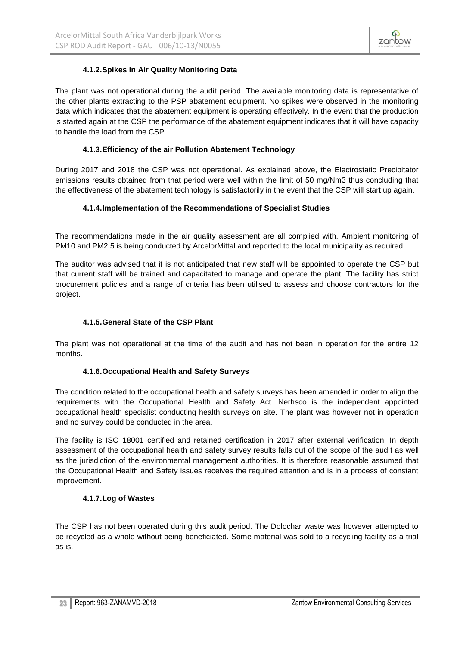

# **4.1.2.Spikes in Air Quality Monitoring Data**

<span id="page-22-0"></span>The plant was not operational during the audit period. The available monitoring data is representative of the other plants extracting to the PSP abatement equipment. No spikes were observed in the monitoring data which indicates that the abatement equipment is operating effectively. In the event that the production is started again at the CSP the performance of the abatement equipment indicates that it will have capacity to handle the load from the CSP.

### **4.1.3.Efficiency of the air Pollution Abatement Technology**

<span id="page-22-1"></span>During 2017 and 2018 the CSP was not operational. As explained above, the Electrostatic Precipitator emissions results obtained from that period were well within the limit of 50 mg/Nm3 thus concluding that the effectiveness of the abatement technology is satisfactorily in the event that the CSP will start up again.

# **4.1.4.Implementation of the Recommendations of Specialist Studies**

<span id="page-22-2"></span>The recommendations made in the air quality assessment are all complied with. Ambient monitoring of PM10 and PM2.5 is being conducted by ArcelorMittal and reported to the local municipality as required.

The auditor was advised that it is not anticipated that new staff will be appointed to operate the CSP but that current staff will be trained and capacitated to manage and operate the plant. The facility has strict procurement policies and a range of criteria has been utilised to assess and choose contractors for the project.

# **4.1.5.General State of the CSP Plant**

<span id="page-22-3"></span>The plant was not operational at the time of the audit and has not been in operation for the entire 12 months.

### **4.1.6.Occupational Health and Safety Surveys**

<span id="page-22-4"></span>The condition related to the occupational health and safety surveys has been amended in order to align the requirements with the Occupational Health and Safety Act. Nerhsco is the independent appointed occupational health specialist conducting health surveys on site. The plant was however not in operation and no survey could be conducted in the area.

The facility is ISO 18001 certified and retained certification in 2017 after external verification. In depth assessment of the occupational health and safety survey results falls out of the scope of the audit as well as the jurisdiction of the environmental management authorities. It is therefore reasonable assumed that the Occupational Health and Safety issues receives the required attention and is in a process of constant improvement.

### **4.1.7.Log of Wastes**

<span id="page-22-5"></span>The CSP has not been operated during this audit period. The Dolochar waste was however attempted to be recycled as a whole without being beneficiated. Some material was sold to a recycling facility as a trial as is.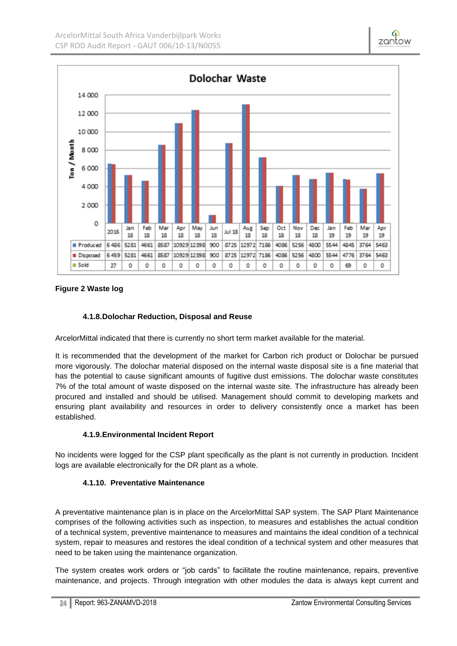

## **Figure 2 Waste log**

### **4.1.8.Dolochar Reduction, Disposal and Reuse**

<span id="page-23-0"></span>ArcelorMittal indicated that there is currently no short term market available for the material.

It is recommended that the development of the market for Carbon rich product or Dolochar be pursued more vigorously. The dolochar material disposed on the internal waste disposal site is a fine material that has the potential to cause significant amounts of fugitive dust emissions. The dolochar waste constitutes 7% of the total amount of waste disposed on the internal waste site. The infrastructure has already been procured and installed and should be utilised. Management should commit to developing markets and ensuring plant availability and resources in order to delivery consistently once a market has been established.

# **4.1.9.Environmental Incident Report**

<span id="page-23-2"></span><span id="page-23-1"></span>No incidents were logged for the CSP plant specifically as the plant is not currently in production. Incident logs are available electronically for the DR plant as a whole.

### **4.1.10. Preventative Maintenance**

A preventative maintenance plan is in place on the ArcelorMittal SAP system. The SAP Plant Maintenance comprises of the following activities such as inspection, to measures and establishes the actual condition of a technical system, preventive maintenance to measures and maintains the ideal condition of a technical system, repair to measures and restores the ideal condition of a technical system and other measures that need to be taken using the maintenance organization.

The system creates work orders or "job cards" to facilitate the routine maintenance, repairs, preventive maintenance, and projects. Through integration with other modules the data is always kept current and

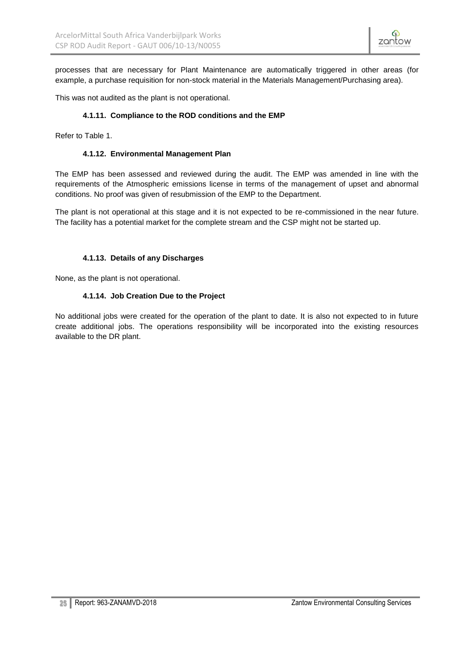processes that are necessary for Plant Maintenance are automatically triggered in other areas (for example, a purchase requisition for non-stock material in the Materials Management/Purchasing area).

<span id="page-24-0"></span>This was not audited as the plant is not operational.

### **4.1.11. Compliance to the ROD conditions and the EMP**

<span id="page-24-1"></span>Refer to Table 1.

### **4.1.12. Environmental Management Plan**

The EMP has been assessed and reviewed during the audit. The EMP was amended in line with the requirements of the Atmospheric emissions license in terms of the management of upset and abnormal conditions. No proof was given of resubmission of the EMP to the Department.

The plant is not operational at this stage and it is not expected to be re-commissioned in the near future. The facility has a potential market for the complete stream and the CSP might not be started up.

### **4.1.13. Details of any Discharges**

<span id="page-24-3"></span><span id="page-24-2"></span>None, as the plant is not operational.

### **4.1.14. Job Creation Due to the Project**

No additional jobs were created for the operation of the plant to date. It is also not expected to in future create additional jobs. The operations responsibility will be incorporated into the existing resources available to the DR plant.